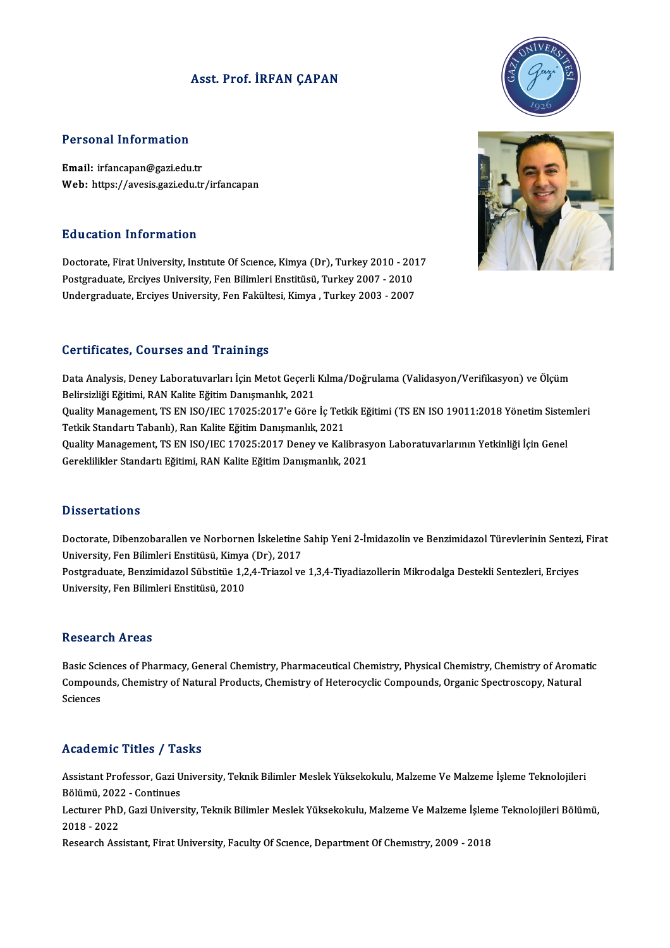# Asst. Prof. İRFAN ÇAPAN



### Personal Information

Email: irfancapan@gazi.edu.tr Web: https://avesis.gazi.edu.tr/irfancapan

### Education Information

Education Information<br>Doctorate, Firat University, Institute Of Science, Kimya (Dr), Turkey 2010 - 2017<br>Postsraduate Ergives University, Een Bilimleri Enstitüsü, Turkey 2007, 2010 Puususeen IIII of Inderon<br>Doctorate, Firat University, Institute Of Science, Kimya (Dr), Turkey 2010 - 201<br>Postgraduate, Erciyes University, Fen Bilimleri Enstitüsü, Turkey 2007 - 2010<br>Undergraduate, Erciyes University, Fe Doctorate, Firat University, Institute Of Science, Kimya (Dr), Turkey 2010 - 201<br>Postgraduate, Erciyes University, Fen Bilimleri Enstitüsü, Turkey 2007 - 2010<br>Undergraduate, Erciyes University, Fen Fakültesi, Kimya , Turke Undergraduate, Erciyes University, Fen Fakültesi, Kimya , Turkey 2003 - 2007<br>Certificates, Courses and Trainings

Certificates, Courses and Trainings<br>Data Analysis, Deney Laboratuvarları İçin Metot Geçerli Kılma/Doğrulama (Validasyon/Verifikasyon) ve Ölçüm<br>Relingizliği Eğitimi, PAN Kalite Eğitim Danısmanlık 2021 Belirsizliği Eğitimi, RAN Kalite Eğitim Danışmanlık, 2021<br>Belirsizliği Eğitimi, RAN Kalite Eğitim Danışmanlık, 2021<br>Quality Managamant, TS-EN ISO (IEC 17025-2017'a Câna Data Analysis, Deney Laboratuvarları İçin Metot Geçerli Kılma/Doğrulama (Validasyon/Verifikasyon) ve Ölçüm<br>Belirsizliği Eğitimi, RAN Kalite Eğitim Danışmanlık, 2021<br>Quality Management, TS EN ISO/IEC 17025:2017'e Göre İç Te Belirsizliği Eğitimi, RAN Kalite Eğitim Danışmanlık, 2021<br>Quality Management, TS EN ISO/IEC 17025:2017'e Göre İç Tetl<br>Tetkik Standartı Tabanlı), Ran Kalite Eğitim Danışmanlık, 2021<br>Quality Management, TS EN ISO/IEC 17025:2

Quality Management, TS EN ISO/IEC 17025:2017'e Göre İç Tetkik Eğitimi (TS EN ISO 19011:2018 Yönetim Sister<br>Tetkik Standartı Tabanlı), Ran Kalite Eğitim Danışmanlık, 2021<br>Quality Management, TS EN ISO/IEC 17025:2017 Deney v Tetkik Standartı Tabanlı), Ran Kalite Eğitim Danışmanlık, 2021<br>Quality Management, TS EN ISO/IEC 17025:2017 Deney ve Kalibrasyon Laboratuvarlarının Yetkinliği İçin Genel<br>Gereklilikler Standartı Eğitimi, RAN Kalite Eğitim D

### **Dissertations**

Dissertations<br>Doctorate, Dibenzobarallen ve Norbornen İskeletine Sahip Yeni 2-İmidazolin ve Benzimidazol Türevlerinin Sentezi, Firat<br>University, Fen Bilimleri Enstitüsü, Kimya (Dr.), 2017 University<br>Doctorate, Dibenzobarallen ve Norbornen İskeletine<br>University, Fen Bilimleri Enstitüsü, Kimya (Dr), 2017<br>Postaraduate, Benzimidarel Sübetitüe 1 2 4 Triazel ve Doctorate, Dibenzobarallen ve Norbornen İskeletine Sahip Yeni 2-İmidazolin ve Benzimidazol Türevlerinin Sentezi<br>University, Fen Bilimleri Enstitüsü, Kimya (Dr), 2017<br>Postgraduate, Benzimidazol Sübstitüe 1,2,4-Triazol ve 1,

University, Fen Bilimleri Enstitüsü, Kimya<br>Postgraduate, Benzimidazol Sübstitüe 1,2<br>University, Fen Bilimleri Enstitüsü, 2010 University, Fen Bilimleri Enstitüsü, 2010<br>Research Areas

Basic Sciences of Pharmacy, General Chemistry, Pharmaceutical Chemistry, Physical Chemistry, Chemistry of Aromatic Resear en Tri eas<br>Basic Sciences of Pharmacy, General Chemistry, Pharmaceutical Chemistry, Physical Chemistry, Chemistry of Aroma<br>Compounds, Chemistry of Natural Products, Chemistry of Heterocyclic Compounds, Organic Spect Basic Scie<br>Compour<br>Sciences Academic Titles / Tasks

Assistant Professor, Gazi University, Teknik Bilimler Meslek Yüksekokulu, Malzeme Ve Malzeme İşleme Teknolojileri Assistant Professor, Gazi U<br>Bölümü, 2022 - Continues<br>Lecturer PbD, Ceri Univers

Lecturer PhD, Gazi University, Teknik Bilimler Meslek Yüksekokulu, Malzeme Ve Malzeme İşleme Teknolojileri Bölümü,<br>2018 - 2022 Bölümü, 202:<br>Lecturer PhD<br>2018 - 2022<br>Besearsh Ass

Research Assistant, Firat University, Faculty Of Science, Department Of Chemistry, 2009 - 2018

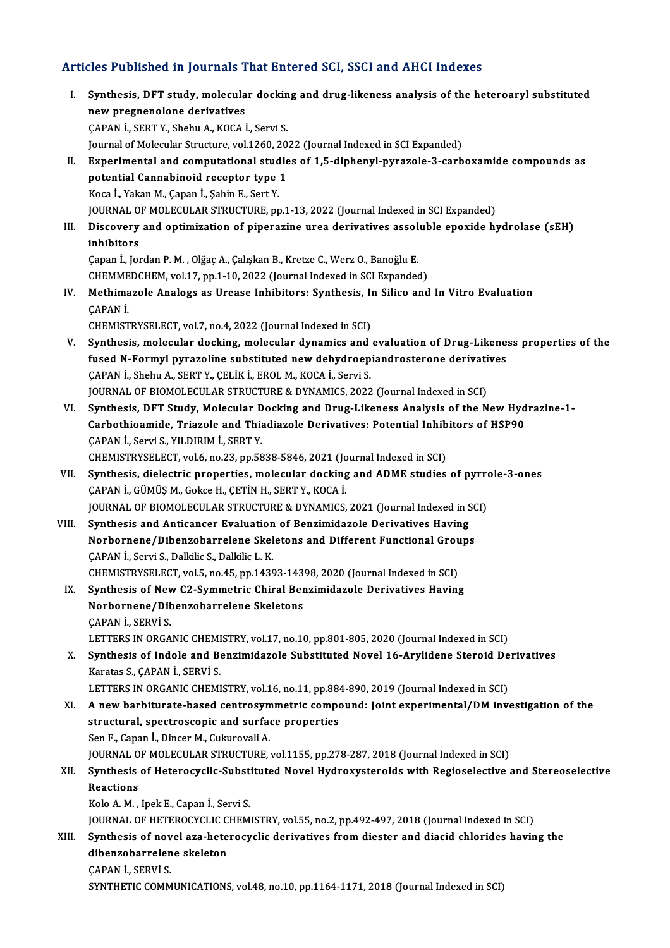# Articles Published in Journals That Entered SCI, SSCI and AHCI Indexes

| Articles Published in Journals That Entered SCI, SSCI and AHCI Indexes |                                                                                                                                  |
|------------------------------------------------------------------------|----------------------------------------------------------------------------------------------------------------------------------|
| Ι.                                                                     | Synthesis, DFT study, molecular docking and drug-likeness analysis of the heteroaryl substituted<br>new pregnenolone derivatives |
|                                                                        | ÇAPAN İ., SERT Y., Shehu A., KOCA İ., Servi S.                                                                                   |
|                                                                        | Journal of Molecular Structure, vol.1260, 2022 (Journal Indexed in SCI Expanded)                                                 |
| П.                                                                     | Experimental and computational studies of 1,5-diphenyl-pyrazole-3-carboxamide compounds as                                       |
|                                                                        | potential Cannabinoid receptor type 1                                                                                            |
|                                                                        | Koca İ., Yakan M., Çapan İ., Şahin E., Sert Y.                                                                                   |
|                                                                        | JOURNAL OF MOLECULAR STRUCTURE, pp.1-13, 2022 (Journal Indexed in SCI Expanded)                                                  |
| Ш.                                                                     | Discovery and optimization of piperazine urea derivatives assoluble epoxide hydrolase (sEH)                                      |
|                                                                        | inhibitors                                                                                                                       |
|                                                                        | Çapan İ., Jordan P. M., Olğaç A., Çalışkan B., Kretze C., Werz O., Banoğlu E.                                                    |
|                                                                        | CHEMMEDCHEM, vol.17, pp.1-10, 2022 (Journal Indexed in SCI Expanded)                                                             |
| IV.                                                                    | Methimazole Analogs as Urease Inhibitors: Synthesis, In Silico and In Vitro Evaluation<br>ÇAPAN İ.                               |
|                                                                        | CHEMISTRYSELECT, vol.7, no.4, 2022 (Journal Indexed in SCI)                                                                      |
| V.                                                                     | Synthesis, molecular docking, molecular dynamics and evaluation of Drug-Likeness properties of the                               |
|                                                                        | fused N-Formyl pyrazoline substituted new dehydroepiandrosterone derivatives                                                     |
|                                                                        | ÇAPAN İ., Shehu A., SERT Y., ÇELİK İ., EROL M., KOCA İ., Servi S.                                                                |
|                                                                        | JOURNAL OF BIOMOLECULAR STRUCTURE & DYNAMICS, 2022 (Journal Indexed in SCI)                                                      |
| VI.                                                                    | Synthesis, DFT Study, Molecular Docking and Drug-Likeness Analysis of the New Hydrazine-1-                                       |
|                                                                        | Carbothioamide, Triazole and Thiadiazole Derivatives: Potential Inhibitors of HSP90                                              |
|                                                                        | ÇAPAN İ., Servi S., YILDIRIM İ., SERT Y.                                                                                         |
|                                                                        | CHEMISTRYSELECT, vol.6, no.23, pp.5838-5846, 2021 (Journal Indexed in SCI)                                                       |
| VII.                                                                   | Synthesis, dielectric properties, molecular docking and ADME studies of pyrrole-3-ones                                           |
|                                                                        | ÇAPAN İ., GÜMÜŞ M., Gokce H., ÇETİN H., SERT Y., KOCA İ.                                                                         |
|                                                                        | JOURNAL OF BIOMOLECULAR STRUCTURE & DYNAMICS, 2021 (Journal Indexed in SCI)                                                      |
| VIII.                                                                  | Synthesis and Anticancer Evaluation of Benzimidazole Derivatives Having                                                          |
|                                                                        | Norbornene/Dibenzobarrelene Skeletons and Different Functional Groups                                                            |
|                                                                        | CAPAN I., Servi S., Dalkilic S., Dalkilic L. K.                                                                                  |
|                                                                        | CHEMISTRYSELECT, vol 5, no.45, pp.14393-14398, 2020 (Journal Indexed in SCI)                                                     |
| IX.                                                                    | Synthesis of New C2-Symmetric Chiral Benzimidazole Derivatives Having                                                            |
|                                                                        | Norbornene/Dibenzobarrelene Skeletons                                                                                            |
|                                                                        | <b>CAPAN İ, SERVİ S</b><br>LETTERS IN ORGANIC CHEMISTRY, vol.17, no.10, pp.801-805, 2020 (Journal Indexed in SCI)                |
| Х.                                                                     | Synthesis of Indole and Benzimidazole Substituted Novel 16-Arylidene Steroid Derivatives                                         |
|                                                                        | Karatas S., ÇAPAN İ., SERVİ S.                                                                                                   |
|                                                                        | LETTERS IN ORGANIC CHEMISTRY, vol.16, no.11, pp.884-890, 2019 (Journal Indexed in SCI)                                           |
| XI.                                                                    | A new barbiturate-based centrosymmetric compound: Joint experimental/DM investigation of the                                     |
|                                                                        | structural, spectroscopic and surface properties                                                                                 |
|                                                                        | Sen F., Capan I., Dincer M., Cukurovali A.                                                                                       |
|                                                                        | JOURNAL OF MOLECULAR STRUCTURE, vol.1155, pp.278-287, 2018 (Journal Indexed in SCI)                                              |
| XII.                                                                   | Synthesis of Heterocyclic-Substituted Novel Hydroxysteroids with Regioselective and Stereoselective                              |
|                                                                        | <b>Reactions</b>                                                                                                                 |
|                                                                        | Kolo A. M., Ipek E., Capan İ., Servi S.                                                                                          |
|                                                                        | JOURNAL OF HETEROCYCLIC CHEMISTRY, vol.55, no.2, pp.492-497, 2018 (Journal Indexed in SCI)                                       |
| XIII.                                                                  | Synthesis of novel aza-heterocyclic derivatives from diester and diacid chlorides having the                                     |
|                                                                        | dibenzobarrelene skeleton                                                                                                        |
|                                                                        | ÇAPAN İ., SERVİ S.                                                                                                               |
|                                                                        | SYNTHETIC COMMUNICATIONS, vol.48, no.10, pp.1164-1171, 2018 (Journal Indexed in SCI)                                             |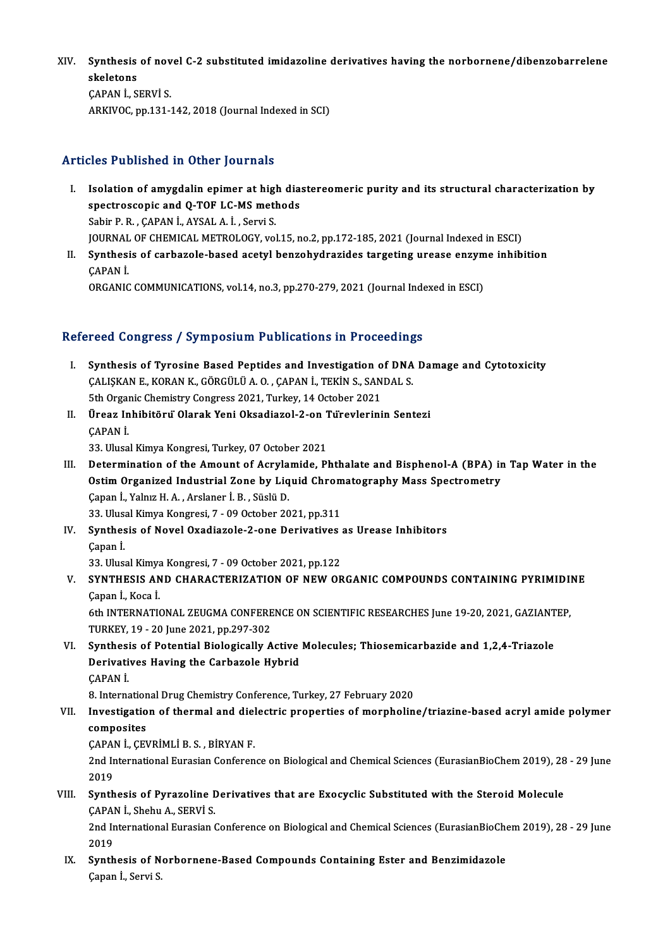XIV. Synthesis of novel C-2 substituted imidazoline derivatives having the norbornene/dibenzobarrelene Synthesis<br>skeletons<br>CARANİ S skeletons<br>ÇAPAN İ., SERVİ S.

ARKIVOC, pp.131-142, 2018 (Journal Indexed in SCI)

# Articles Published in Other Journals

- I. It icles Published in Other Journals<br>I. Isolation of amygdalin epimer at high diastereomeric purity and its structural characterization by<br>Spectrossenic and O TOF LC MS methods spectroscopic and Q-TOF LC-MS methods<br>spectroscopic and Q-TOF LC-MS methods<br>Sobin B B - CABAN LAYSAL A L. Sorvi S Isolation of amygdalin epimer at high<br>spectroscopic and Q-TOF LC-MS meth<br>Sabir P.R. , ÇAPAN İ., AYSAL A. İ. , Servi S.<br>JOUPMAL OF CHEMICAL METROLOCY ve spectroscopic and Q-TOF LC-MS methods<br>Sabir P. R. , ÇAPAN İ., AYSAL A. İ. , Servi S.<br>JOURNAL OF CHEMICAL METROLOGY, vol.15, no.2, pp.172-185, 2021 (Journal Indexed in ESCI) Sabir P. R. , ÇAPAN İ., AYSAL A. İ. , Servi S.<br>JOURNAL OF CHEMICAL METROLOGY, vol.15, no.2, pp.172-185, 2021 (Journal Indexed in ESCI)<br>II. Synthesis of carbazole-based acetyl benzohydrazides targeting urease enzyme inh
- JOURNAL<br>Synthesi<br>ÇAPAN İ. Synthesis of carbazole-based acetyl benzohydrazides targeting urease enzym<br>ÇAPAN İ.<br>ORGANIC COMMUNICATIONS, vol.14, no.3, pp.270-279, 2021 (Journal Indexed in ESCI)

# 0RGANIC COMMUNICATIONS, vol.14, no.3, pp.270-279, 2021 (Journal Indexed in ESCI)<br>Refereed Congress / Symposium Publications in Proceedings

- efereed Congress / Symposium Publications in Proceedings<br>I. Synthesis of Tyrosine Based Peptides and Investigation of DNA Damage and Cytotoxicity<br>CALISKAN E. KORAN K. CÖRCÜLÜ A. O. CARAN L. TEKIN S. SANDAL S. Synthesis of Tyrosine Based Peptides and Investigation of DNA<br>CALISKAN E., KORAN K., GÖRGÜLÜ A. O., ÇAPAN İ., TEKİN S., SANDAL S.<br>Eth Organic Chamistry Congress 2021 Turkey, 14 October 2021 Synthesis of Tyrosine Based Peptides and Investigation of CALISKAN E., KORAN K., GÖRGÜLÜ A. O. , ÇAPAN İ., TEKİN S., SAN<br>5th Organic Chemistry Congress 2021, Turkey, 14 October 2021<br>Ünear Inhibitäry: Olarak Vani Okadiaral CALIŞKAN E., KORAN K., GÖRGÜLÜ A. O. , ÇAPAN İ., TEKİN S., SANDAL S.<br>5th Organic Chemistry Congress 2021, Turkey, 14 October 2021<br>II. Üreaz Inhibitörü Olarak Yeni Oksadiazol-2-on Türevlerinin Sentezi<br>CARAN İ
- 5th Organic Chemistry Congress 2021, Turkey, 14 October 2021<br>Üreaz Inhibitöru Olarak Yeni Oksadiazol-2-on Turevlerin<br>ÇAPAN İ.<br>33. Ulusal Kimya Kongresi, Turkey, 07 October 2021 Üreaz Inhibitöru Olarak Yeni Oksadiazol-2-on 1<br>ÇAPAN İ.<br>33. Ulusal Kimya Kongresi, Turkey, 07 October 2021<br>Determination of the Ameunt of Asyvlamide, Pl

- III. Determination of the Amount of Acrylamide, Phthalate and Bisphenol-A (BPA) in Tap Water in the 33. Ulusal Kimya Kongresi, Turkey, 07 October 2021<br>Determination of the Amount of Acrylamide, Phthalate and Bisphenol-A (BPA) in<br>Ostim Organized Industrial Zone by Liquid Chromatography Mass Spectrometry Çapan İ., Yalnız H. A. , Arslaner İ. B. , Süslü D.<br>33. Ulusal Kimya Kongresi, 7 - 09 October 2021, pp.311 Ostim Organized Industrial Zone by Liquid Chrom<br>Çapan İ., Yalnız H. A. , Arslaner İ. B. , Süslü D.<br>33. Ulusal Kimya Kongresi, 7 - 09 October 2021, pp.311<br>Sunthesis of Novel Ovediarele 3. ene Denivatives Capan İ., Yalnız H. A. , Arslaner İ. B. , Süslü D.<br>33. Ulusal Kimya Kongresi, 7 - 09 October 2021, pp.311<br>IV. Synthesis of Novel Oxadiazole-2-one Derivatives as Urease Inhibitors
- 33. Ulus<br>S<mark>ynthes</mark><br>Çapan İ. Synthesis of Novel Oxadiazole-2-one Derivatives<br>Çapan İ.<br>33. Ulusal Kimya Kongresi, 7 - 09 October 2021, pp.122<br>SYNTUESIS AND CHARACTERIZATION OF NEW OR

# Capan İ.<br>33. Ulusal Kimya Kongresi, 7 - 09 October 2021, pp.122<br>V. SYNTHESIS AND CHARACTERIZATION OF NEW ORGANIC COMPOUNDS CONTAINING PYRIMIDINE<br>Capan İ. Kasa İ 33. Ulusal Kimya<br>SYNTHESIS AN<br>Çapan İ., Koca İ.<br>611. INTERNATIC SYNTHESIS AND CHARACTERIZATION OF NEW ORGANIC COMPOUNDS CONTAINING PYRIMIDI<br>Çapan İ., Koca İ.<br>6th INTERNATIONAL ZEUGMA CONFERENCE ON SCIENTIFIC RESEARCHES June 19-20, 2021, GAZIANTEP,<br>TURKEY 19 - 20 June 2021, PR 297-202

Çapan İ., Koca İ.<br>6th INTERNATIONAL ZEUGMA CONFERENCE ON SCIENTIFIC RESEARCHES June 19-20, 2021, GAZIANTEP,<br>TURKEY, 19 - 20 June 2021, pp.297-302 6th INTERNATIONAL ZEUGMA CONFERENCE ON SCIENTIFIC RESEARCHES June 19-20, 2021, GAZIANT<br>TURKEY, 19 - 20 June 2021, pp.297-302<br>VI. Synthesis of Potential Biologically Active Molecules; Thiosemicarbazide and 1,2,4-Triazole<br>De

TURKEY, 19 - 20 June 2021, pp.297-302<br>Synthesis of Potential Biologically Active<br>Derivatives Having the Carbazole Hybrid Synthesi<br>Derivati<br>ÇAPAN İ. **Derivatives Having the Carbazole Hybrid<br>CAPAN İ.<br>8. International Drug Chemistry Conference, Turkey, 27 February 2020**<br>Investigation of thermal and dielectric preperties of merphelin

# CAPAN İ.<br>8. International Drug Chemistry Conference, Turkey, 27 February 2020<br>VII. Investigation of thermal and dielectric properties of morpholine/triazine-based acryl amide polymer<br>composites 8. Internation<br>Investigatio<br>composites Investigation of thermal and diel<br>composites<br>ÇAPAN İ.,ÇEVRİMLİ B.S., BİRYAN F.<br>2nd International Eurosian Conferen

2nd International Eurasian Conference on Biological and Chemical Sciences (EurasianBioChem 2019), 28 - 29 June<br>2019 CAPA<br>2nd In<br>2019<br>Sunth 2nd International Eurasian Conference on Biological and Chemical Sciences (EurasianBioChem 2019), 28<br>2019<br>VIII. Synthesis of Pyrazoline Derivatives that are Exocyclic Substituted with the Steroid Molecule<br>CARAN LSbaby A, S

# 2019<br>Synthesis of Pyrazoline I<br>ÇAPAN İ., Shehu A., SERVİ S.<br>2nd International Eurosian ( CAPAN İ, Shehu A, SERVİ S.

2nd International Eurasian Conference on Biological and Chemical Sciences (EurasianBioChem 2019), 28 - 29 June<br>2019 2nd International Eurasian Conference on Biological and Chemical Sciences (EurasianBioChe<br>2019<br>IX. Synthesis of Norbornene-Based Compounds Containing Ester and Benzimidazole<br>Capan L Servi S

2019<br>Synthesis of N<br>Çapan İ., Servi S.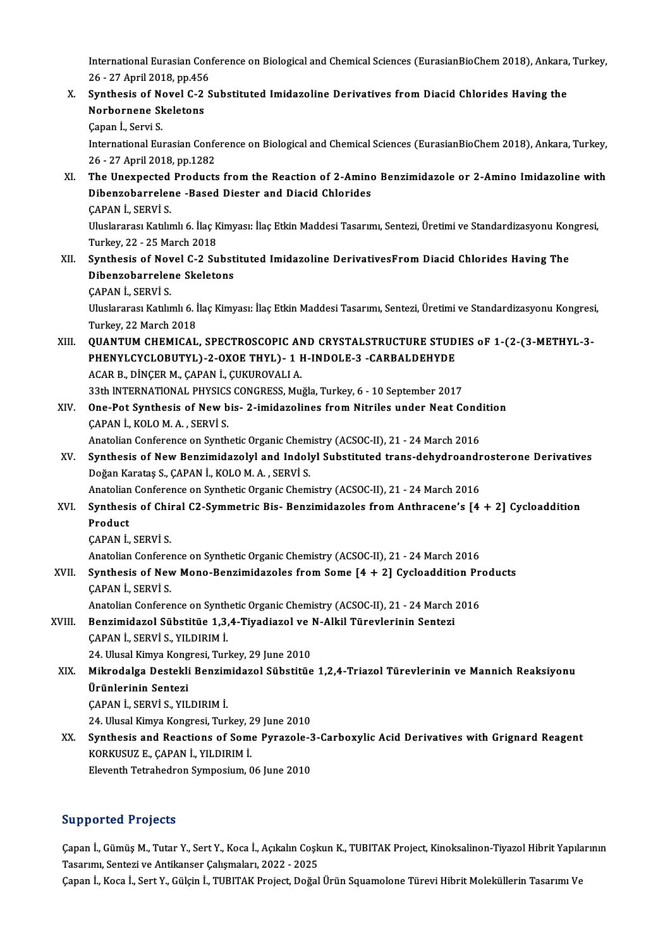International Eurasian Conference on Biological and Chemical Sciences (EurasianBioChem 2018), Ankara, Turkey,<br>26 . 37 April 2018, pp.456 International Eurasian Con<br>26 - 27 April 2018, pp.456<br>Synthesis of Novel C 3.5

International Eurasian Conference on Biological and Chemical Sciences (EurasianBioChem 2018), Ankara,<br>26 - 27 April 2018, pp.456<br>X. Synthesis of Novel C-2 Substituted Imidazoline Derivatives from Diacid Chlorides Having th 26 - 27 April 2018, pp.456<br>X. Synthesis of Novel C-2 Substituted Imidazoline Derivatives from Diacid Chlorides Having the<br>Norbornene Skeletons Çapan İ., Servi S. Norbornene Skeletons<br>Çapan İ., Servi S.<br>International Eurasian Conference on Biological and Chemical Sciences (EurasianBioChem 2018), Ankara, Turkey,<br>26., 27.Anril 2018, nn 1282. Capan İ., Servi S.<br>International Eurasian Confe<br>26 - 27 April 2018, pp.1282<br>The Unexnested Bredusts International Eurasian Conference on Biological and Chemical Sciences (EurasianBioChem 2018), Ankara, Turkey,<br>26 - 27 April 2018, pp.1282<br>XI. The Unexpected Products from the Reaction of 2-Amino Benzimidazole or 2-Amino Im 26 - 27 April 2018, pp.1282<br>The Unexpected Products from the Reaction of 2-Amine<br>Dibenzobarrelene -Based Diester and Diacid Chlorides<br>CARAN L. SERVI S The Unexpected<br>Dibenzobarreler<br>ÇAPAN İ., SERVİ S.<br>Uluslararası Katılır Dibenzobarrelene -Based Diester and Diacid Chlorides<br>ÇAPAN İ., SERVİ S.<br>Uluslararası Katılımlı 6. İlaç Kimyası: İlaç Etkin Maddesi Tasarımı, Sentezi, Üretimi ve Standardizasyonu Kongresi, CAPAN İ., SERVİ S.<br>Uluslararası Katılımlı 6. İlaç K<br>Turkey, 22 - 25 March 2018<br>Synthosis of Novel C 3 Su Uluslararası Katılımlı 6. İlaç Kimyası: İlaç Etkin Maddesi Tasarımı, Sentezi, Üretimi ve Standardizasyonu Kor<br>Turkey, 22 - 25 March 2018<br>XII. Synthesis of Novel C-2 Substituted Imidazoline DerivativesFrom Diacid Chlorides Turkey, 22 - 25 March 2018<br>Synthesis of Novel C-2 Subst<br>Dibenzobarrelene Skeletons<br>CARAN L SERVIS Synthesis of Nov<br>Dibenzobarreler<br>ÇAPAN İ., SERVİ S.<br>Uluslaranası Katılın Dibenzobarrelene Skeletons<br>ÇAPAN İ., SERVİ S.<br>Uluslararası Katılımlı 6. İlaç Kimyası: İlaç Etkin Maddesi Tasarımı, Sentezi, Üretimi ve Standardizasyonu Kongresi, CAPAN İ., SERVİ S.<br>Uluslararası Katılımlı 6. İ<br>Turkey, 22 March 2018<br>OUANTUM CHEMICAL Turkey, 22 March 2018<br>XIII. QUANTUM CHEMICAL, SPECTROSCOPIC AND CRYSTALSTRUCTURE STUDIES of 1-(2-(3-METHYL-3-Turkey, 22 March 2018<br>QUANTUM CHEMICAL, SPECTROSCOPIC AND CRYSTALSTRUCTURE STUD<br>PHENYLCYCLOBUTYL)-2-OXOE THYL)- 1 H-INDOLE-3 -CARBALDEHYDE<br>ACAR B. DİNGER M. CARAN İ. GUKUROVALLA QUANTUM CHEMICAL, SPECTROSCOPIC AN<br>PHENYLCYCLOBUTYL)-2-OXOE THYL)- 1 I<br>ACAR B., DİNÇER M., ÇAPAN İ., ÇUKUROVALI A.<br>22th INTERNATIONAL PHYSICS CONCRESS M.. PHENYLCYCLOBUTYL)-2-OXOE THYL)- 1 H-INDOLE-3 -CARBALDEHYDE<br>ACAR B., DİNÇER M., ÇAPAN İ., ÇUKUROVALI A.<br>33th INTERNATIONAL PHYSICS CONGRESS, Muğla, Turkey, 6 - 10 September 2017<br>One Bet Synthesis of New bis. 2 imidarelines ACAR B., DİNÇER M., ÇAPAN İ., ÇUKUROVALI A.<br>33th INTERNATIONAL PHYSICS CONGRESS, Muğla, Turkey, 6 - 10 September 2017<br>XIV. One-Pot Synthesis of New bis- 2-imidazolines from Nitriles under Neat Condition<br>CAPAN İ., KOLO 33th INTERNATIONAL PHYSICS CONGRESS, Muğla, Turkey, 6 - 10 September 2017 One-Pot Synthesis of New bis- 2-imidazolines from Nitriles under Neat Cond<br>CAPAN İ., KOLO M. A. , SERVİ S.<br>Anatolian Conference on Synthetic Organic Chemistry (ACSOC-II), 21 - 24 March 2016<br>Synthesis of New Benzimidazolyl CAPAN İ., KOLO M. A. , SERVİ S.<br>Anatolian Conference on Synthetic Organic Chemistry (ACSOC-II), 21 - 24 March 2016<br>XV. Synthesis of New Benzimidazolyl and Indolyl Substituted trans-dehydroandrosterone Derivatives<br>Değan Kar Anatolian Conference on Synthetic Organic Chem<br>Synthesis of New Benzimidazolyl and Indol<br>Doğan Karataş S., ÇAPAN İ., KOLO M.A. , SERVİ S.<br>Anatolian Conference on Synthetic Organic Chem Synthesis of New Benzimidazolyl and Indolyl Substituted trans-dehydroandr<br>Doğan Karataş S., ÇAPAN İ., KOLO M. A. , SERVİ S.<br>Anatolian Conference on Synthetic Organic Chemistry (ACSOC-II), 21 - 24 March 2016<br>Synthesis of Ch Doğan Karataş S., ÇAPAN İ., KOLO M. A. , SERVİ S.<br>Anatolian Conference on Synthetic Organic Chemistry (ACSOC-II), 21 - 24 March 2016<br>XVI. Synthesis of Chiral C2-Symmetric Bis- Benzimidazoles from Anthracene's [4 + 2] Cyclo Anatolian<br><mark>Synthesi</mark><br>Product<br>CARAN İ Synthesis of Chin<br>Product<br>ÇAPAN İ., SERVİ S.<br>Anatolian Conforei Product<br>CAPAN İ., SERVİ S.<br>Anatolian Conference on Synthetic Organic Chemistry (ACSOC-II), 21 - 24 March 2016 CAPAN İ., SERVİ S.<br>Anatolian Conference on Synthetic Organic Chemistry (ACSOC-II), 21 - 24 March 2016<br>XVII. Synthesis of New Mono-Benzimidazoles from Some [4 + 2] Cycloaddition Products<br>CARAN İ. SERVİ S. Anatolian Conferer<br>Synthesis of Nev<br>ÇAPAN İ., SERVİ S.<br>Anatolian Conferer Synthesis of New Mono-Benzimidazoles from Some [4 + 2] Cycloaddition Pr<br>CAPAN İ., SERVİ S.<br>Anatolian Conference on Synthetic Organic Chemistry (ACSOC-II), 21 - 24 March 2016<br>Benzimidazel Sübstitüe 1.2.4 Tivodiazel ve N.Alk CAPAN İ., SERVİ S.<br>Anatolian Conference on Synthetic Organic Chemistry (ACSOC-II), 21 - 24 March<br>XVIII. Benzimidazol Sübstitüe 1,3,4-Tiyadiazol ve N-Alkil Türevlerinin Sentezi Anatolian Conference on Synth<br>Benzimidazol Sübstitüe 1,3,<br>ÇAPAN İ., SERVİ S., YILDIRIM İ.<br>24 Hlugal Kimua Kongresi Tur Benzimidazol Sübstitüe 1,3,4-Tiyadiazol ve l<br>ÇAPAN İ., SERVİ S., YILDIRIM İ.<br>24. Ulusal Kimya Kongresi, Turkey, 29 June 2010<br>Mikrodalaz Destekli Benzimidazol Sübstitüe ÇAPAN İ., SERVİ S., YILDIRIM İ.<br>24. Ulusal Kimya Kongresi, Turkey, 29 June 2010<br>XIX. Mikrodalga Destekli Benzimidazol Sübstitüe 1,2,4-Triazol Türevlerinin ve Mannich Reaksiyonu<br>Ürünlerinin Senteri 24. Ulusal Kimya Kong<br>Mikrodalga Destekli<br>Ürünlerinin Sentezi Mikrodalga Destekli Benzin<br>Ürünlerinin Sentezi<br>ÇAPAN İ., SERVİ S., YILDIRIM İ.<br>24 Hlucal Yimva Yongresi Tur Ürünlerinin Sentezi<br>ÇAPAN İ., SERVİ S., YILDIRIM İ.<br>24. Ulusal Kimya Kongresi, Turkey, 29 June 2010<br>Synthesis and Beastions of Some Byrazola 3 CAPAN İ., SERVİ S., YILDIRIM İ.<br>24. Ulusal Kimya Kongresi, Turkey, 29 June 2010<br>XX. Synthesis and Reactions of Some Pyrazole-3-Carboxylic Acid Derivatives with Grignard Reagent<br>KORKUSUZ E. CARAN İ. VU DIRIM İ. 24. Ulusal Kimya Kongresi, Turkey, 2<br>Synthesis and Reactions of Som<br>KORKUSUZ E., ÇAPAN İ., YILDIRIM İ.<br>Flavanth Tatrabadran Sumnasium G Synthesis and Reactions of Some Pyrazole-3<br>KORKUSUZ E., ÇAPAN İ., YILDIRIM İ.<br>Eleventh Tetrahedron Symposium, 06 June 2010 Eleventh Tetrahedron Symposium, 06 June 2010<br>Supported Projects

Supported Projects<br>Çapan İ., Gümüş M., Tutar Y., Sert Y., Koca İ., Açıkalın Coşkun K., TUBITAK Project, Kinoksalinon-Tiyazol Hibrit Yapılarının<br>Tasarımı Santari ve Antikansar Coksmaları, 2022, 2025 Tap Porton 110jours<br>Çapan İ., Gümüş M., Tutar Y., Sert Y., Koca İ., Açıkalın Coşk<br>Tasarımı, Sentezi ve Antikanser Çalışmaları, 2022 - 2025<br>Canan İ. Kosa İ. Sert V. Gülsin İ. TUPITAK Prejest Değal Çapan İ., Gümüş M., Tutar Y., Sert Y., Koca İ., Açıkalın Coşkun K., TUBITAK Project, Kinoksalinon-Tiyazol Hibrit Yapıla<br>Tasarımı, Sentezi ve Antikanser Çalışmaları, 2022 - 2025<br>Çapan İ., Koca İ., Sert Y., Gülçin İ., TUBITA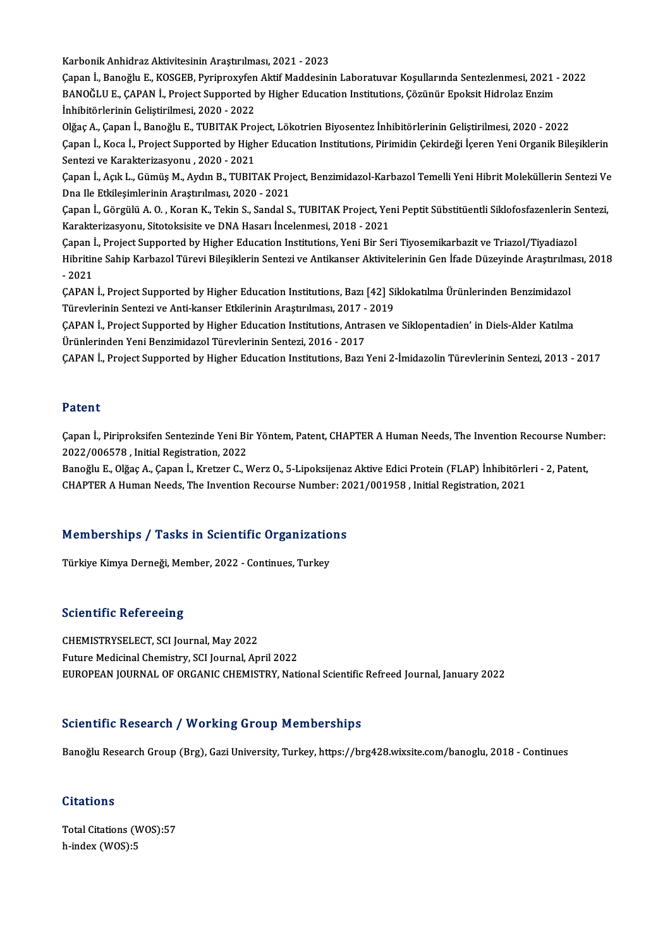KarbonikAnhidrazAktivitesininAraştırılması,2021 -2023

Çapanİ.,BanoğluE.,KOSGEB,PyriproxyfenAktifMaddesininLaboratuvarKoşularında Sentezlenmesi,2021 -2022 Karbonik Anhidraz Aktivitesinin Araştırılması, 2021 - 2023<br>Çapan İ., Banoğlu E., KOSGEB, Pyriproxyfen Aktif Maddesinin Laboratuvar Koşullarında Sentezlenmesi, 2021 -<br>BANOĞLU E., ÇAPAN İ., Project Supported by Higher Educat Çapan İ., Banoğlu E., KOSGEB, Pyriproxyfen<br>BANOĞLU E., ÇAPAN İ., Project Supported b<br>İnhibitörlerinin Geliştirilmesi, 2020 - 2022<br>Olžas A. Canan İ. Banoğlu E. TUPITAK Pro BANOĞLU E., ÇAPAN İ., Project Supported by Higher Education Institutions, Çözünür Epoksit Hidrolaz Enzim<br>İnhibitörlerinin Geliştirilmesi, 2020 - 2022<br>Olğaç A., Çapan İ., Banoğlu E., TUBITAK Project, Lökotrien Biyosentez İn

İnhibitörlerinin Geliştirilmesi, 2020 - 2022<br>Olğaç A., Çapan İ., Banoğlu E., TUBITAK Project, Lökotrien Biyosentez İnhibitörlerinin Geliştirilmesi, 2020 - 2022<br>Çapan İ., Koca İ., Project Supported by Higher Education Insti Olğaç A., Çapan İ., Banoğlu E., TUBITAK Proj<br>Çapan İ., Koca İ., Project Supported by High<br>Sentezi ve Karakterizasyonu , 2020 - 2021<br>Çapan İ. Asık I., Çümüş M. Aydın B., TUBIT Çapan İ., Koca İ., Project Supported by Higher Education Institutions, Pirimidin Çekirdeği İçeren Yeni Organik Bileşiklerin<br>Sentezi ve Karakterizasyonu , 2020 - 2021<br>Çapan İ., Açık L., Gümüş M., Aydın B., TUBITAK Project,

Sentezi ve Karakterizasyonu , 2020 - 2021<br>Çapan İ., Açık L., Gümüş M., Aydın B., TUBITAK Project, Benzimidazol-Karbazol Temelli Yeni Hibrit Moleküllerin Sentezi Ve<br>Dna Ile Etkilesimlerinin Arastırılması, 2020 - 2021 Çapan İ., Açık L., Gümüş M., Aydın B., TUBITAK Project, Benzimidazol-Karbazol Temelli Yeni Hibrit Moleküllerin Sentezi Ve<br>Dna Ile Etkileşimlerinin Araştırılması, 2020 - 2021<br>Çapan İ., Görgülü A. O. , Koran K., Tekin S., Sa

Dna Ile Etkileşimlerinin Araştırılması, 2020 - 2021<br>Çapan İ., Görgülü A. O. , Koran K., Tekin S., Sandal S., TUBITAK Project, Yeı<br>Karakterizasyonu, Sitotoksisite ve DNA Hasarı İncelenmesi, 2018 - 2021<br>Capan İ. Breject Sunn Çapan İ., Görgülü A. O. , Koran K., Tekin S., Sandal S., TUBITAK Project, Yeni Peptit Sübstitüentli Siklofosfazenlerin S<br>Karakterizasyonu, Sitotoksisite ve DNA Hasarı İncelenmesi, 2018 - 2021<br>Çapan İ., Project Supported by

Karakterizasyonu, Sitotoksisite ve DNA Hasarı İncelenmesi, 2018 - 2021<br>Çapan İ., Project Supported by Higher Education Institutions, Yeni Bir Seri Tiyosemikarbazit ve Triazol/Tiyadiazol<br>Hibritine Sahip Karbazol Türevi Bile Capan İ<br>Hibritin<br>- 2021<br>CAPAN Hibritine Sahip Karbazol Türevi Bileşiklerin Sentezi ve Antikanser Aktivitelerinin Gen İfade Düzeyinde Araştırılma<br>- 2021<br>ÇAPAN İ., Project Supported by Higher Education Institutions, Bazı [42] Siklokatılma Ürünlerinden Be

- 2021<br>ÇAPAN İ., Project Supported by Higher Education Institutions, Bazı [42] Siklokatılma Ürünlerinden Benzimidazol Türevlerinin Sentezi ve Anti-kanser Etkilerinin Araştırılması, 2017 - 2019

ÇAPAN İ., Project Supported by Higher Education Institutions, Antrasen ve Siklopentadien' in Diels-Alder Katılma<br>Ürünlerinden Yeni Benzimidazol Türevlerinin Sentezi, 2016 - 2017

ÇAPANİ.,ProjectSupported byHigher EducationInstitutions,BazıYeni2-İmidazolinTürevlerininSentezi,2013 -2017

## Patent

Patent<br>Çapan İ., Piriproksifen Sentezinde Yeni Bir Yöntem, Patent, CHAPTER A Human Needs, The Invention Recourse Number:<br>2022/006578, Jnitial Registration, 2022 2 acente<br>Çapan İ., Piriproksifen Sentezinde Yeni Bi<br>2022/006578 , Initial Registration, 2022<br>Baneğlu E. Olğas A. Canan İ. Krattar C. J Çapan İ., Piriproksifen Sentezinde Yeni Bir Yöntem, Patent, CHAPTER A Human Needs, The Invention Recourse Numl<br>2022/006578 , Initial Registration, 2022<br>Banoğlu E., Olğaç A., Çapan İ., Kretzer C., Werz O., 5-Lipoksijenaz Ak

2022/006578 , Initial Registration, 2022<br>Banoğlu E., Olğaç A., Çapan İ., Kretzer C., Werz O., 5-Lipoksijenaz Aktive Edici Protein (FLAP) İnhibitörleri - 2, Patent,<br>CHAPTER A Human Needs, The Invention Recourse Number: 2021

# Charter A Human Needs, the Invention Recourse Number: 20<br>Memberships / Tasks in Scientific Organizations <mark>Memberships / Tasks in Scientific Organizatio</mark><br>Türkiye Kimya Derneği, Member, 2022 - Continues, Turkey

Türkiye Kimya Derneği, Member, 2022 - Continues, Turkey<br>Scientific Refereeing

CHEMISTRYSELECT, SCI Journal, May 2022 Future Medicinal Chemistry, SCI Journal, April 2022 EUROPEANJOURNALOFORGANICCHEMISTRY,NationalScientificRefreed Journal, January2022

## Scientific Research / Working Group Memberships

Banoğlu Research Group (Brg), Gazi University, Turkey, https://brg428.wixsite.com/banoglu, 2018 - Continues

## **Citations**

Citations<br>Total Citations (WOS):57<br>h index (WOS):5 h-index (WOS):5